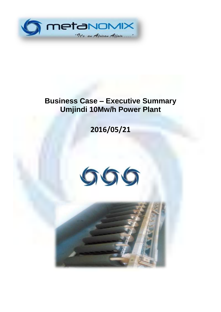

# **Business Case – Executive Summary Umjindi 10Mw/h Power Plant**

**2016/05/21**



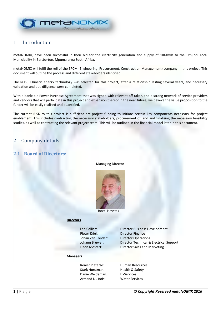

# 1 Introduction

metaNOMIX, have been successful in their bid for the electricity generation and supply of 10Mw/h to the Umjindi Local Municipality in Bartberton, Mpumalanga South Africa.

metaNOMIX will fulfil the roll of the EPCM (Engineering, Procurement, Construction Management) company in this project. This document will outline the process and different stakeholders identified.

The ROSCH Kinetic energy technology was selected for this project, after a relationship lasting several years, and necessary validation and due diligence were completed.

With a bankable Power Purchase Agreement that was signed with relevant off-taker, and a strong network of service providers and vendors that will participate in this project and expansion thereof in the near future, we believe the value proposition to the funder will be easily realised and quantified.

The current RISK to this project is sufficient pre-project funding to initiate certain key components necessary for project enablement. This includes contracting the necessary stakeholders, procurement of land and finalising the necessary feasibility studies, as well as contracting the relevant project team. This will be outlined in the financial model later in this document.

# 2 Company details

### **2.1 Board of Directors:**

Managing Director



Joost Heystek

#### **Directors**

Pieter Kriel: Director Finance

Len Collier: Director Business Development Johan van Tonder: Director Operations Johann Bruwer: Director Technical & Electrical Support Deon Mostert: Director Sales and Marketing

#### **Managers**

Renier Pieterse: Human Resources Stark Horstman: Health & Safety Danie Weideman: IT-Services Armand Du Bois: Water Services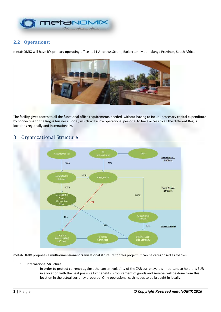

# **2.2 Operations:**

metaNOMIX will have it's primary operating office at 11 Andrews Street, Barberton, Mpumalanga Province, South Africa.



The facility gives access to all the functional office requirements needed without having to incur unessesary capital expenditure by connecting to the Regus business model, which will allow operational personal to have access to all the different Regus locations regionally and internationally.

# 3 Organizational Structure



metaNOMIX proposes a multi-dimensional organizational structure for this project. It can be categorised as follows:

1. International Structure

In order to protect currency against the current volatility of the ZAR currency, it is important to hold this EUR in a location with the best possible tax benefits. Procurement of goods and services will be done from this location in the actual currency procured. Only operational cash needs to be brought in locally.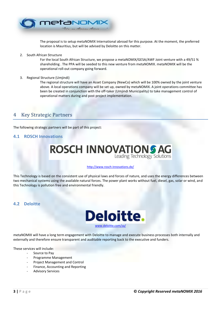

The proposal is to setup metaNOMIX International abroad for this purpose. At the moment, the preferred location is Mauritius, but will be advised by Deloitte on this matter.

2. South African Structure

For the local South African Structure, we propose a metaNOMIX/GESA/AWF Joint venture with a 49/51 % shareholding . The PPA will be seeded to this new venture from metaNOMIX. metaNOMIX will be the operational roll-out company going forward.

3. Regional Structure (Umjindi)

The regional structure will have an Asset Company (NewCo) which will be 100% owned by the joint venture above. A local operations company will be set up, owned by metaNOMIX. A joint operations committee has been be created in conjunction with the off-taker (Umjindi Municipality) to take management control of operational matters during and post project implementation.

# 4 Key Strategic Partners

The following strategic partners will be part of this project:

### **4.1 ROSCH Innovations**



#### <http://www.rosch-innovations.de/>

This Technology is based on the consistent use of physical laws and forces of nature, and uses the energy differences between two mechanical systems using the available natural forces. The power plant works without fuel, diesel, gas, solar or wind, and this Technology is pollution free and environmental friendly.

### **4.2 Deloitte**



metaNOMIX will have a long term engagement with Deloitte to manage and execute business processes both internally and externally and therefore ensure transparent and auditable reporting back to the executive and funders.

These services will include:

- Source to Pay
- Programme Management
- Project Management and Control
- Finance, Accounting and Reporting
- Advisory Services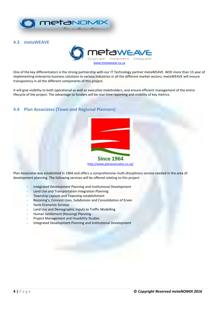

### **4.3 metaWEAVE**



One of the key differentiators is the strong partnership with our IT Technology partner metaWEAVE. With more than 15 year of implementing enterprise business solutions to various industries in all the different market sectors, metaWEAVE will ensure transparency in all the different components of this project.

It will give visibility to both operational as well as executive stakeholders, and ensure efficient management of the entire lifecycle of the project. The advantage to funders will be real-time reporting and visibility of key metrics.

### **4.4 Plan Associates (Town and Regional Planners)**



Plan Associates was established in 1964 and offers a comprehensive multi-disciplinary service needed in the area of development planning. The following services will be offered relating to this project:

- Integrated Development Planning and Institutional Development
- Land Use and Transportation Integration Planning
- Township Layouts and Township establishment
- Rezoning's, Concent Uses, Subdivision and Consolidation of Erven
- Socio Economic Surveys
- Land Use and Demographic Inputs to Traffic Modelling
- Human Settlement (Housing) Planning
- Project Management and Feasibility Studies
- Integrated Development Planning and Institutional Development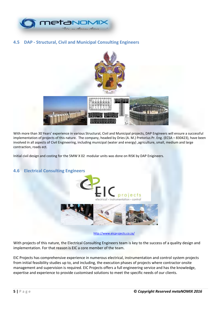

## **4.5 DAP - Structural, Civil and Municipal Consulting Engineers**



With more than 30 Years' experience in various Structural, Civil and Municipal projects, DAP Engineers will ensure a successful implementation of projects of this nature. The company, headed by Dries (A. M.) Pretorius Pr. Eng. (ECSA – 830423), have been involved in all aspects of Civil Engineering, including municipal (water and energy) ,agriculture, small, medium and large contraction, roads ect.

Initial civil design and costing for the 5MW X 02 modular units was done on RISK by DAP Enigineers.



# **4.6 Electrical Consulting Engineers**

<http://www.eicprojects.co.za/>

With projects of this nature, the Electrical Consulting Engineers team is key to the success of a quality design and implementation. For that reason is EIC a core member of the team.

EIC Projects has comprehensive experience in numerous electrical, instrumentation and control system projects from initial feasibility studies up to, and including, the execution phases of projects where contractor onsite management and supervision is required. EIC Projects offers a full engineering service and has the knowledge, expertise and experience to provide customised solutions to meet the specific needs of our clients.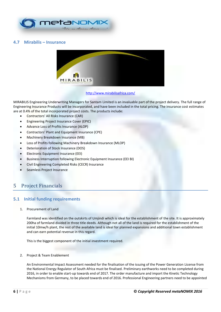

### **4.7 Mirabilis – Insurance**



<http://www.mirabilisafrica.com/>

MIRABILIS Engineering Underwriting Managers for Santam Limited is an invaluable part of the project delivery. The full range of Engineering Insurance Products will be incorporated, and have been included in the total pricing. The insurance cost estimates are at 0.4% of the total incorporated project costs. The products include:

- Contractors' All Risks Insurance (CAR)
- Engineering Project Insurance Cover (EPIC)
- Advance Loss of Profits Insurance (ALOP)
- Contractors' Plant and Equipment Insurance (CPE)
- Machinery Breakdown Insurance (MB)
- Loss of Profits following Machinery Breakdown Insurance (MLOP)
- Deterioration of Stock Insurance (DOS)
- Electronic Equipment Insurance (EEI)
- Business Interruption following Electronic Equipment Insurance (EEI BI)
- Civil Engineering Completed Risks (CECR) Insurance
- Seamless Project Insurance

# 5 Project Financials

### **5.1 Initial funding requirements**

1. Procurement of Land

Farmland was identified on the outskirts of Umjindi which is ideal for the establishment of the site. It is approximately 200ha of farmland divided in three title deeds. Although not all of the land is required for the establishment of the initial 10mw/h plant, the rest of the available land is ideal for planned expansions and additional town establishment and can earn potential revenue in this regard.

This is the biggest component of the initial investment required.

2. Project & Team Enablement

An Environmental Impact Assessment needed for the finalisation of the issuing of the Power Generation License from the National Energy Regulator of South Africa must be finalised. Preliminary earthworks need to be completed during 2016, in order to enable start-up towards end of 2017. The order manufacture and import the Kinetic Technology Mechanisms from Germany, to be placed towards end of 2016. Professional Engineering partners need to be appointed